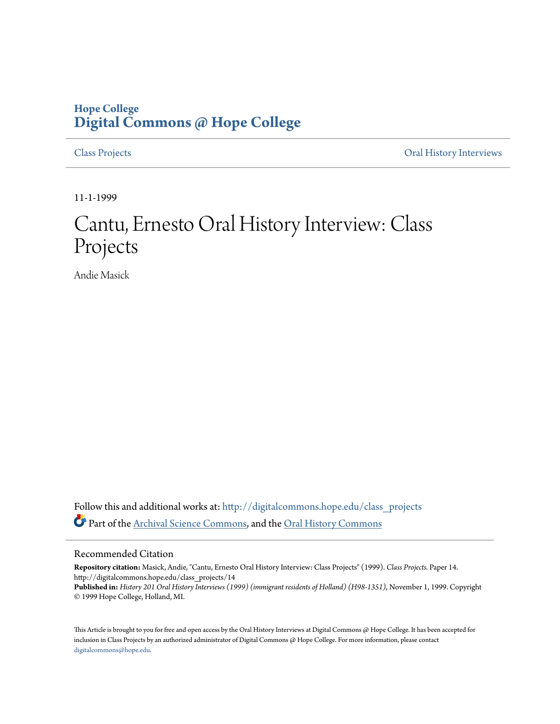## **Hope College [Digital Commons @ Hope College](http://digitalcommons.hope.edu?utm_source=digitalcommons.hope.edu%2Fclass_projects%2F14&utm_medium=PDF&utm_campaign=PDFCoverPages)**

[Class Projects](http://digitalcommons.hope.edu/class_projects?utm_source=digitalcommons.hope.edu%2Fclass_projects%2F14&utm_medium=PDF&utm_campaign=PDFCoverPages) [Oral History Interviews](http://digitalcommons.hope.edu/oral_histories?utm_source=digitalcommons.hope.edu%2Fclass_projects%2F14&utm_medium=PDF&utm_campaign=PDFCoverPages)

11-1-1999

## Cantu, Ernesto Oral History Interview: Class Projects

Andie Masick

Follow this and additional works at: [http://digitalcommons.hope.edu/class\\_projects](http://digitalcommons.hope.edu/class_projects?utm_source=digitalcommons.hope.edu%2Fclass_projects%2F14&utm_medium=PDF&utm_campaign=PDFCoverPages) Part of the [Archival Science Commons,](http://network.bepress.com/hgg/discipline/1021?utm_source=digitalcommons.hope.edu%2Fclass_projects%2F14&utm_medium=PDF&utm_campaign=PDFCoverPages) and the [Oral History Commons](http://network.bepress.com/hgg/discipline/1195?utm_source=digitalcommons.hope.edu%2Fclass_projects%2F14&utm_medium=PDF&utm_campaign=PDFCoverPages)

## Recommended Citation

**Repository citation:** Masick, Andie, "Cantu, Ernesto Oral History Interview: Class Projects" (1999). *Class Projects.* Paper 14. http://digitalcommons.hope.edu/class\_projects/14 **Published in:** *History 201 Oral History Interviews (1999) (immigrant residents of Holland) (H98-1351)*, November 1, 1999. Copyright © 1999 Hope College, Holland, MI.

This Article is brought to you for free and open access by the Oral History Interviews at Digital Commons @ Hope College. It has been accepted for inclusion in Class Projects by an authorized administrator of Digital Commons @ Hope College. For more information, please contact [digitalcommons@hope.edu.](mailto:digitalcommons@hope.edu)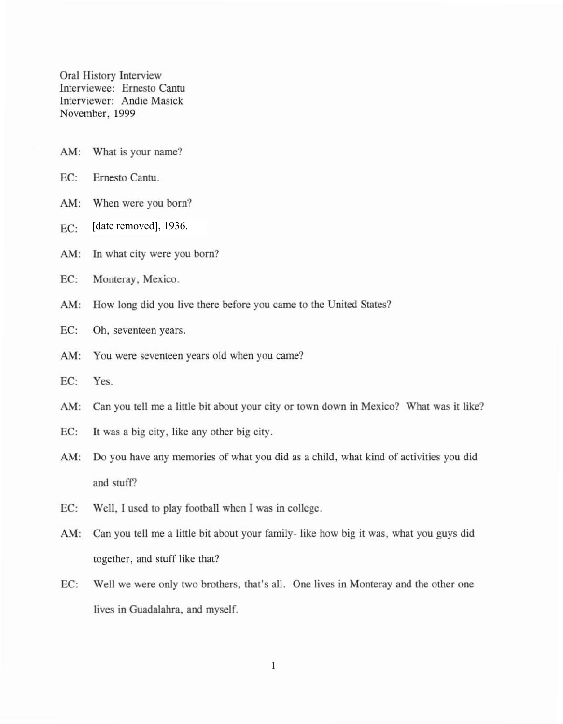Oral History Interview Interviewee: Ernesto Cantu Interviewer: Andie Masick November, 1999

- AM: What is your name?
- EC: Ernesto Cantu.
- AM: When were you born?
- $EC:$  [date removed], 1936.
- AM: In what city were you born?
- EC: Monteray, Mexico.
- AM: How long did you live there before you came to the United States?
- EC: Oh, seventeen years.
- AM: You were seventeen years old when you came?
- EC: Yes.
- AM: Can you tell me a little bit about your city or town down in Mexico? What was it like?
- EC: It was a big city, like any other big city.
- AM: Do you have any memories of what you did as a child, what kind of activities you did and stuff?
- EC: Well, J used to play football when 1was in college.
- AM: Can you tell me a little bit about your family- like how big it was, what you guys did together, and stuff like that?
- EC: Well we were only two brothers, that's all. One lives in Momeray and the other one lives in Guadalahra, and myself.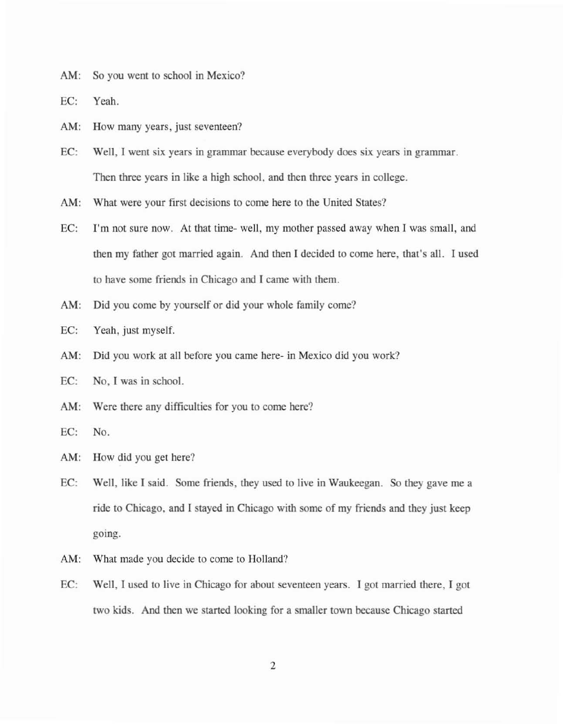AM: So you went to school in Mexico?

EC: Yeah.

AM: How many years, just seventeen?

EC: Well, I went six years in grammar because everybody does six years in grammar. Then three years in like a high school, and then three years in college.

AM: What were your first decisions to come here to the United States?

- EC: I'm not sure now. At that time- well, my mother passed away when I was small, and then my father got married again. And then I decided to come here, that's all. I used to have some friends in Chicago and I came with them.
- AM: Did you come by yourself or did your whole family come?
- EC: Yeah, just myself.
- AM: Did you work at all before you came here- in Mexico did you work?
- EC: No, I was in school.
- AM: Were there any difficulties for you to come here?
- EC: No.

AM: How did you get here?

- EC; Well, like I said. Some friends, they used to live in Waukeegan. So they gave me a ride to Chicago, and I stayed in Chicago with some of my friends and they just keep going.
- AM: What made you decide to come to Holland?
- EC: Well, I used to live in Chicago for about seventeen years. I got married there, I got two kids. And then we started looking for a smaller town because Chicago started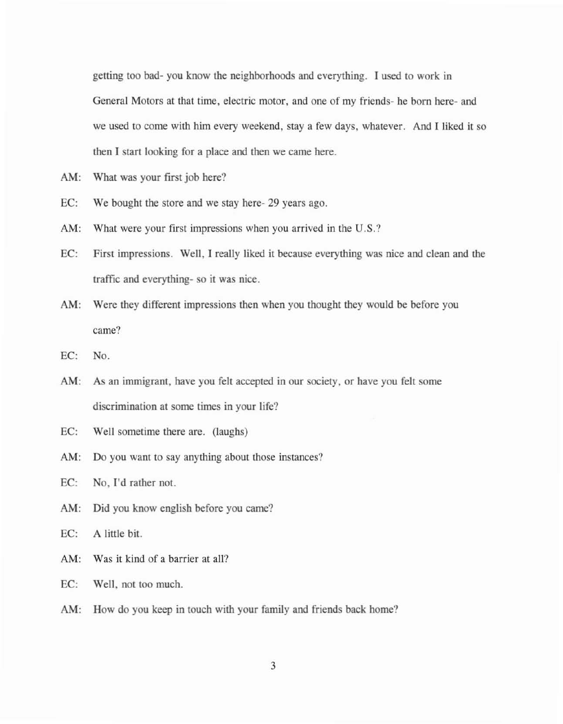getting too bad- you know the neighborhoods and everything. I used to work in General Motors at that time, electric motor, and one of my friends- he born here- and we used to come with him every weekend, stay a few days. whatever. And I liked it so then I start looking for a place and then we came here.

- AM: What was your first job here?
- EC: We bought the store and we stay here- 29 years ago.
- AM: What were your first impressions when you arrived in the U.S.?
- EC: First impressions. Well, I really liked it because everything was nice and clean and the traffic and everything- so it was nice.
- AM: Were they different impressions then when you thought they would be before you came?
- EC: No.
- AM: As an immigrant, have you felt accepted in our society, or have you felt some discrimination at some times in your life?
- EC: Well sometime there are. (laughs)
- AM: Do you want to say anything about those instances?

EC: No, I'd rather not.

AM: Did you know english before you came?

EC: A little bit.

- AM: Was it kind of a barrier at all?
- EC: Well, not too much.
- AM: How do you keep in touch with your family and friends back home?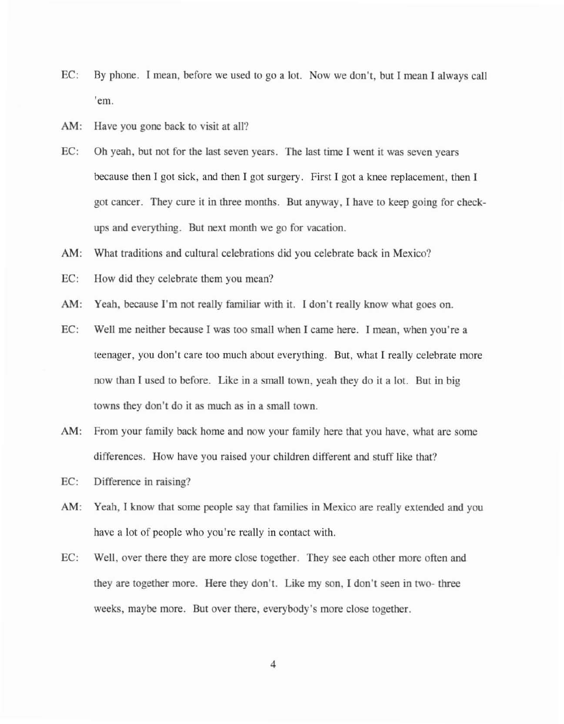- EC: By phone. I mean, before we used to go a lot. Now we don't, but I mean I always call 'em.
- AM: Have you gone back to visit at all?
- EC: Oh yeah, but not for the last seven years. The last time I went it was seven years because then I got sick, and then I got surgery. First I got a knee replacement, then I got cancer. They cure it in three months. But anyway, I have to keep going for checkups and everything. But next month we go for vacation.
- AM: What traditions and cultural celebrations did you celebrate back in Mexico?
- EC: How did they celebrate them you mean?
- AM: Yeah, because I'm not really familiar with it. I don't really know what goes on.
- EC: Well me neither because I was too small when I came here. I mean, when you're a teenager, you don't care too much about everything. But, what I really celebrate more now than I used to before. Like in a small town, yeah they do it a lot. But in big towns they don't do it as much as in a small town.
- AM: From your family back home and now your family here that you have, what are some differences. How have you raised your children different and stuff like that?
- EC: Difference in raising?
- AM: Yeah, I know that some people say that families in Mexico are really extended and you have a lot of people who you're really in contact with.
- EC: Well, over there they are more close together. They see each other more often and they are together more. Here they don't. Like my son, I don't seen in two- three weeks, maybe more. But over there, everybody's more close together.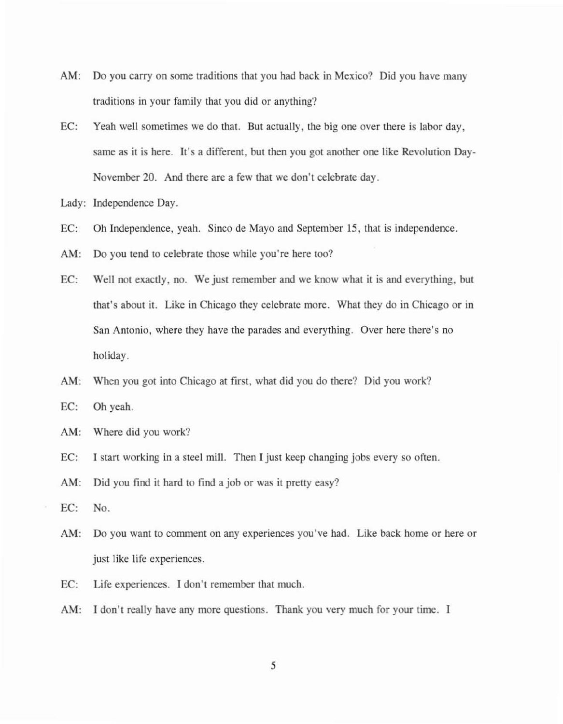- AM: Do you carry on some traditions that you had back in Mexico? Did you have many traditions in your family that you did or anything?
- EC: Yeah well sometimes we do that. But actually, the big one over there is labor day, same as it is here. It's a different, but then you got another one like Revolution Day-November 20. And there are a few that we don't celebrate day.
- Lady: Independence Day.
- EC: Oh Independence, yeah. Sineo de Mayo and September 15, that is independence.
- AM: Do you tend to celebrate those while you're here too?
- EC: Well not exactly, no. We just remember and we know what it is and everything, but that's about it. Like in Chicago they celebrate morc. What they do in Chicago or in San Antonio, where they have the parades and everything. Over here there's no holiday.
- AM: When you got into Chicago at first, what did you do there? Did you work?
- EC: Oh yeah.
- AM: Where did you work?
- EC: I start working in a steel mill. Then I just keep changing jobs every so often.
- AM: Did you find it hard to find a job or was it pretty easy?
- EC: No.
- AM: Do you want to comment on any experiences you've had. Like back home or here or just like life experiences.
- EC: Life experiences. I don't remember that much.
- AM: I don't really have any more questions. Thank you very much for your time. I